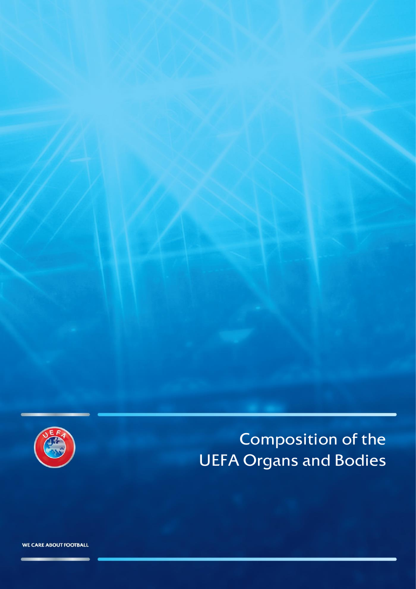

# Composition of the UEFA Organs and Bodies

WE CARE ABOUT FOOTBALL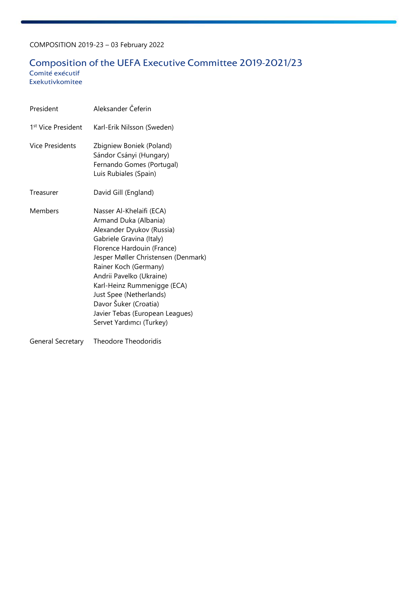# Composition of the UEFA Executive Committee 2019-2021/23

 Comité exécutif Exekutivkomitee

| President                      | Aleksander Čeferin                                                                                                                                                                                                                                                                                                                                                                     |
|--------------------------------|----------------------------------------------------------------------------------------------------------------------------------------------------------------------------------------------------------------------------------------------------------------------------------------------------------------------------------------------------------------------------------------|
| 1 <sup>st</sup> Vice President | Karl-Erik Nilsson (Sweden)                                                                                                                                                                                                                                                                                                                                                             |
| <b>Vice Presidents</b>         | Zbigniew Boniek (Poland)<br>Sándor Csányi (Hungary)<br>Fernando Gomes (Portugal)<br>Luis Rubiales (Spain)                                                                                                                                                                                                                                                                              |
| Treasurer                      | David Gill (England)                                                                                                                                                                                                                                                                                                                                                                   |
| Members                        | Nasser Al-Khelaifi (ECA)<br>Armand Duka (Albania)<br>Alexander Dyukov (Russia)<br>Gabriele Gravina (Italy)<br>Florence Hardouin (France)<br>Jesper Møller Christensen (Denmark)<br>Rainer Koch (Germany)<br>Andrii Pavelko (Ukraine)<br>Karl-Heinz Rummenigge (ECA)<br>Just Spee (Netherlands)<br>Davor Šuker (Croatia)<br>Javier Tebas (European Leagues)<br>Servet Yardımcı (Turkey) |

General Secretary Theodore Theodoridis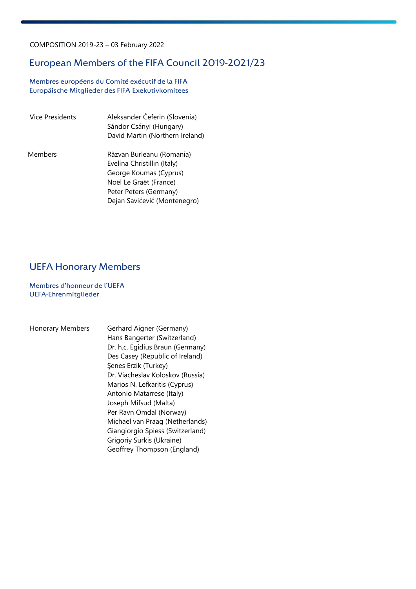# European Members of the FIFA Council 2019-2021/23

 Membres européens du Comité exécutif de la FIFA Europäische Mitglieder des FIFA-Exekutivkomitees

| Vice Presidents | Aleksander Čeferin (Slovenia)<br>Sándor Csányi (Hungary)<br>David Martin (Northern Ireland)                                                                            |
|-----------------|------------------------------------------------------------------------------------------------------------------------------------------------------------------------|
| Members         | Răzvan Burleanu (Romania)<br>Evelina Christillin (Italy)<br>George Koumas (Cyprus)<br>Noël Le Graët (France)<br>Peter Peters (Germany)<br>Dejan Savićević (Montenegro) |

# UEFA Honorary Members

 Membres d'honneur de l'UEFA UEFA-Ehrenmitglieder

 Honorary Members Gerhard Aigner (Germany) Hans Bangerter (Switzerland) Dr. h.c. Egidius Braun (Germany) Des Casey (Republic of Ireland) Şenes Erzik (Turkey) Dr. Viacheslav Koloskov (Russia) Marios N. Lefkaritis (Cyprus) Antonio Matarrese (Italy) Joseph Mifsud (Malta) Per Ravn Omdal (Norway) Michael van Praag (Netherlands) Giangiorgio Spiess (Switzerland) Grigoriy Surkis (Ukraine) Geoffrey Thompson (England)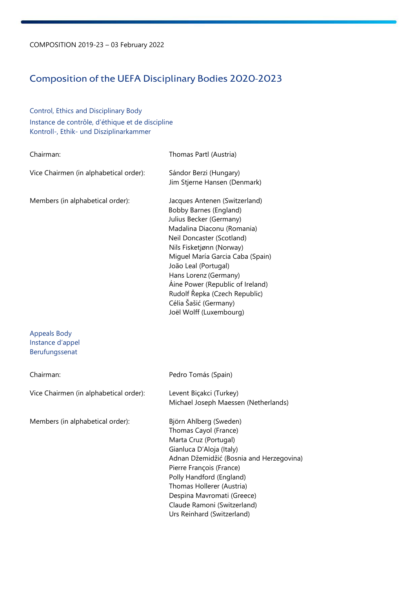# Composition of the UEFA Disciplinary Bodies 2020-2023

Control, Ethics and Disciplinary Body Instance de contrôle, d'éthique et de discipline Kontroll-, Ethik- und Disziplinarkammer

| Chairman:                                                 | Thomas Partl (Austria)                                                                                                                                                                                                                                                                                                                                                                         |
|-----------------------------------------------------------|------------------------------------------------------------------------------------------------------------------------------------------------------------------------------------------------------------------------------------------------------------------------------------------------------------------------------------------------------------------------------------------------|
| Vice Chairmen (in alphabetical order):                    | Sándor Berzi (Hungary)<br>Jim Stjerne Hansen (Denmark)                                                                                                                                                                                                                                                                                                                                         |
| Members (in alphabetical order):                          | Jacques Antenen (Switzerland)<br><b>Bobby Barnes (England)</b><br>Julius Becker (Germany)<br>Madalina Diaconu (Romania)<br>Neil Doncaster (Scotland)<br>Nils Fisketjønn (Norway)<br>Miguel María Garcia Caba (Spain)<br>João Leal (Portugal)<br>Hans Lorenz (Germany)<br>Áine Power (Republic of Ireland)<br>Rudolf Řepka (Czech Republic)<br>Célia Šašić (Germany)<br>Joël Wolff (Luxembourg) |
| <b>Appeals Body</b><br>Instance d'appel<br>Berufungssenat |                                                                                                                                                                                                                                                                                                                                                                                                |
| Chairman:                                                 | Pedro Tomás (Spain)                                                                                                                                                                                                                                                                                                                                                                            |
| Vice Chairmen (in alphabetical order):                    | Levent Biçakci (Turkey)<br>Michael Joseph Maessen (Netherlands)                                                                                                                                                                                                                                                                                                                                |
| Members (in alphabetical order):                          | Björn Ahlberg (Sweden)<br>Thomas Cayol (France)<br>Marta Cruz (Portugal)<br>Gianluca D'Aloja (Italy)<br>Adnan Džemidžić (Bosnia and Herzegovina)<br>Pierre François (France)<br>Polly Handford (England)<br>Thomas Hollerer (Austria)<br>Despina Mavromati (Greece)<br>Claude Ramoni (Switzerland)<br>Urs Reinhard (Switzerland)                                                               |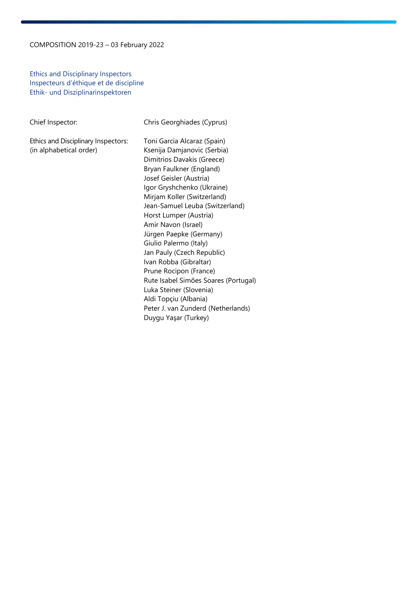Ethics and Disciplinary Inspectors Inspecteurs d'éthique et de discipline Ethik- und Disziplinarinspektoren

| Chief Inspector:                                               | Chris Georghiades (Cyprus)                                                                                                                                                                                                                                                                                                                                                                                                                                                                                                                                                                        |
|----------------------------------------------------------------|---------------------------------------------------------------------------------------------------------------------------------------------------------------------------------------------------------------------------------------------------------------------------------------------------------------------------------------------------------------------------------------------------------------------------------------------------------------------------------------------------------------------------------------------------------------------------------------------------|
| Ethics and Disciplinary Inspectors:<br>(in alphabetical order) | Toni Garcia Alcaraz (Spain)<br>Ksenija Damjanovic (Serbia)<br>Dimitrios Davakis (Greece)<br>Bryan Faulkner (England)<br>Josef Geisler (Austria)<br>Igor Gryshchenko (Ukraine)<br>Mirjam Koller (Switzerland)<br>Jean-Samuel Leuba (Switzerland)<br>Horst Lumper (Austria)<br>Amir Navon (Israel)<br>Jürgen Paepke (Germany)<br>Giulio Palermo (Italy)<br>Jan Pauly (Czech Republic)<br>Ivan Robba (Gibraltar)<br>Prune Rocipon (France)<br>Rute Isabel Simões Soares (Portugal)<br>Luka Steiner (Slovenia)<br>Aldi Topçiu (Albania)<br>Peter J. van Zunderd (Netherlands)<br>Duygu Yaşar (Turkey) |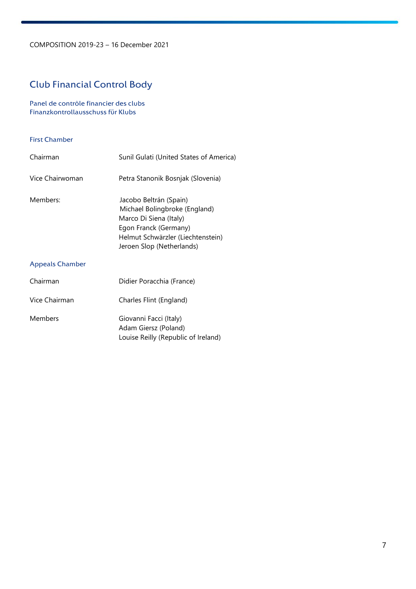# Club Financial Control Body

Panel de contrôle financier des clubs Finanzkontrollausschuss für Klubs

#### First Chamber

| Chairman        | Sunil Gulati (United States of America)                                                                                                                                      |
|-----------------|------------------------------------------------------------------------------------------------------------------------------------------------------------------------------|
| Vice Chairwoman | Petra Stanonik Bosnjak (Slovenia)                                                                                                                                            |
| Members:        | Jacobo Beltrán (Spain)<br>Michael Bolingbroke (England)<br>Marco Di Siena (Italy)<br>Egon Franck (Germany)<br>Helmut Schwärzler (Liechtenstein)<br>Jeroen Slop (Netherlands) |
| Appeals Chamber |                                                                                                                                                                              |
| Chairman        | Didier Poracchia (France)                                                                                                                                                    |

| <b>Members</b><br>Giovanni Facci (Italy)<br>Adam Giersz (Poland)<br>Louise Reilly (Republic of Ireland) |
|---------------------------------------------------------------------------------------------------------|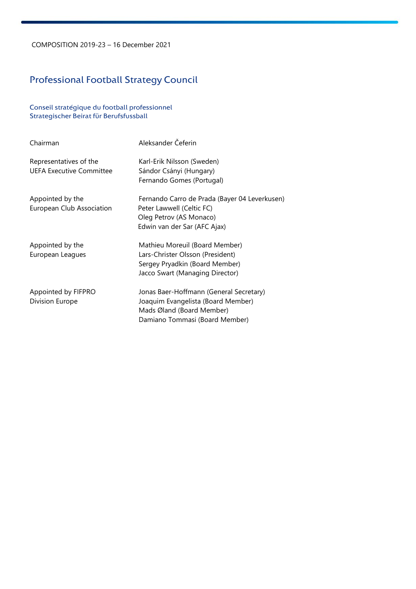# Professional Football Strategy Council

Conseil stratégique du football professionnel Strategischer Beirat für Berufsfussball

| Chairman                                                  | Aleksander Čeferin                                                                                                                           |
|-----------------------------------------------------------|----------------------------------------------------------------------------------------------------------------------------------------------|
| Representatives of the<br><b>UEFA Executive Committee</b> | Karl-Erik Nilsson (Sweden)<br>Sándor Csányi (Hungary)<br>Fernando Gomes (Portugal)                                                           |
| Appointed by the<br>European Club Association             | Fernando Carro de Prada (Bayer 04 Leverkusen)<br>Peter Lawwell (Celtic FC)<br>Oleg Petrov (AS Monaco)<br>Edwin van der Sar (AFC Ajax)        |
| Appointed by the<br>European Leagues                      | Mathieu Moreuil (Board Member)<br>Lars-Christer Olsson (President)<br>Sergey Pryadkin (Board Member)<br>Jacco Swart (Managing Director)      |
| Appointed by FIFPRO<br>Division Europe                    | Jonas Baer-Hoffmann (General Secretary)<br>Joaquim Evangelista (Board Member)<br>Mads Øland (Board Member)<br>Damiano Tommasi (Board Member) |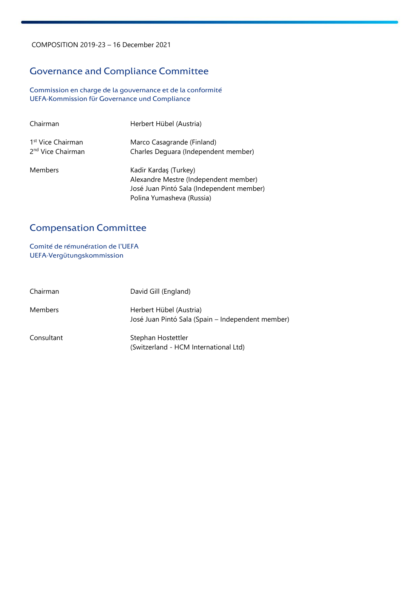# Governance and Compliance Committee

Commission en charge de la gouvernance et de la conformité UEFA-Kommission für Governance und Compliance

| Chairman                                                       | Herbert Hübel (Austria)                                                                                                                  |
|----------------------------------------------------------------|------------------------------------------------------------------------------------------------------------------------------------------|
| 1 <sup>st</sup> Vice Chairman<br>2 <sup>nd</sup> Vice Chairman | Marco Casagrande (Finland)<br>Charles Dequara (Independent member)                                                                       |
| <b>Members</b>                                                 | Kadir Kardaş (Turkey)<br>Alexandre Mestre (Independent member)<br>José Juan Pintó Sala (Independent member)<br>Polina Yumasheva (Russia) |

# Compensation Committee

Comité de rémunération de l'UEFA UEFA-Vergütungskommission

| Chairman       | David Gill (England)                                                         |
|----------------|------------------------------------------------------------------------------|
| <b>Members</b> | Herbert Hübel (Austria)<br>José Juan Pintó Sala (Spain – Independent member) |
| Consultant     | Stephan Hostettler<br>(Switzerland - HCM International Ltd)                  |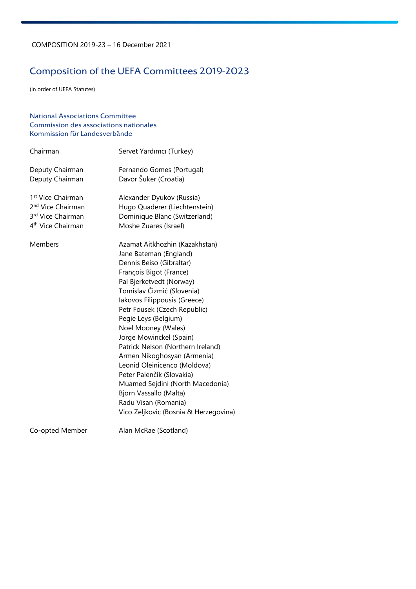# Composition of the UEFA Committees 2019-2023

(in order of UEFA Statutes)

### National Associations Committee Commission des associations nationales Kommission für Landesverbände

| Chairman                      | Servet Yardımcı (Turkey)              |
|-------------------------------|---------------------------------------|
| Deputy Chairman               | Fernando Gomes (Portugal)             |
| Deputy Chairman               | Davor Šuker (Croatia)                 |
| 1 <sup>st</sup> Vice Chairman | Alexander Dyukov (Russia)             |
| 2 <sup>nd</sup> Vice Chairman | Hugo Quaderer (Liechtenstein)         |
| 3rd Vice Chairman             | Dominique Blanc (Switzerland)         |
| 4 <sup>th</sup> Vice Chairman | Moshe Zuares (Israel)                 |
| Members                       | Azamat Aitkhozhin (Kazakhstan)        |
|                               | Jane Bateman (England)                |
|                               | Dennis Beiso (Gibraltar)              |
|                               | François Bigot (France)               |
|                               | Pal Bjerketvedt (Norway)              |
|                               | Tomislav Čizmić (Slovenia)            |
|                               | Iakovos Filippousis (Greece)          |
|                               | Petr Fousek (Czech Republic)          |
|                               | Pegie Leys (Belgium)                  |
|                               | Noel Mooney (Wales)                   |
|                               | Jorge Mowinckel (Spain)               |
|                               | Patrick Nelson (Northern Ireland)     |
|                               | Armen Nikoghosyan (Armenia)           |
|                               | Leonid Oleinicenco (Moldova)          |
|                               | Peter Palenčík (Slovakia)             |
|                               | Muamed Sejdini (North Macedonia)      |
|                               | Bjorn Vassallo (Malta)                |
|                               | Radu Visan (Romania)                  |
|                               | Vico Zeljkovic (Bosnia & Herzegovina) |
| Co-opted Member               | Alan McRae (Scotland)                 |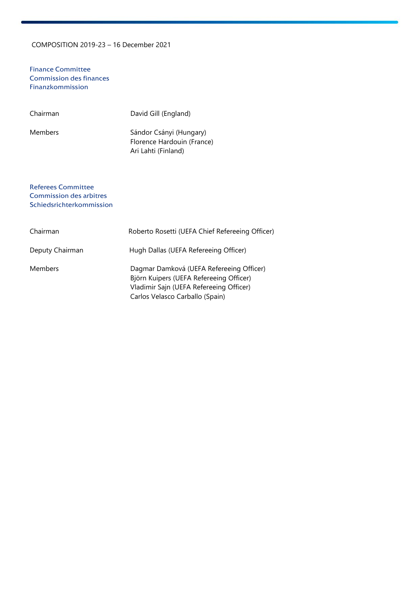Finance Committee Commission des finances Finanzkommission

| Chairman | David Gill (England)                                                         |
|----------|------------------------------------------------------------------------------|
| Members  | Sándor Csányi (Hungary)<br>Florence Hardouin (France)<br>Ari Lahti (Finland) |

#### Referees Committee Commission des arbitres Schiedsrichterkommission

| Chairman        | Roberto Rosetti (UEFA Chief Refereeing Officer)                                                                                                                   |
|-----------------|-------------------------------------------------------------------------------------------------------------------------------------------------------------------|
| Deputy Chairman | Hugh Dallas (UEFA Refereeing Officer)                                                                                                                             |
| <b>Members</b>  | Dagmar Damková (UEFA Refereeing Officer)<br>Björn Kuipers (UEFA Refereeing Officer)<br>Vladimir Sajn (UEFA Refereeing Officer)<br>Carlos Velasco Carballo (Spain) |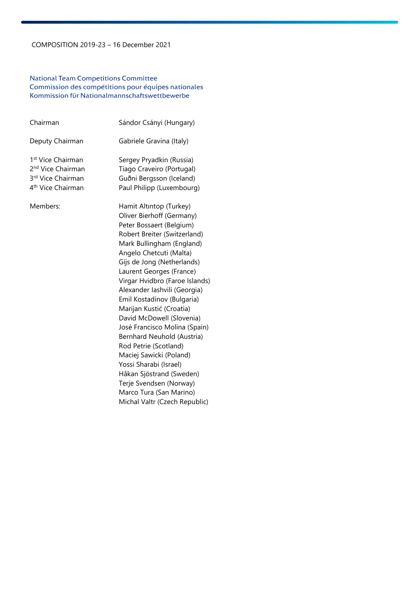#### National Team Competitions Committee Commission des compétitions pour équipes nationales Kommission für Nationalmannschaftswettbewerbe

| Chairman                                                                                                             | Sándor Csányi (Hungary)                                                                                                                                                                                                                                                                                                                                                                                                                                                                                                                                                                                                                                     |
|----------------------------------------------------------------------------------------------------------------------|-------------------------------------------------------------------------------------------------------------------------------------------------------------------------------------------------------------------------------------------------------------------------------------------------------------------------------------------------------------------------------------------------------------------------------------------------------------------------------------------------------------------------------------------------------------------------------------------------------------------------------------------------------------|
| Deputy Chairman                                                                                                      | Gabriele Gravina (Italy)                                                                                                                                                                                                                                                                                                                                                                                                                                                                                                                                                                                                                                    |
| 1 <sup>st</sup> Vice Chairman<br>2 <sup>nd</sup> Vice Chairman<br>3rd Vice Chairman<br>4 <sup>th</sup> Vice Chairman | Sergey Pryadkin (Russia)<br>Tiago Craveiro (Portugal)<br>Guðni Bergsson (Iceland)<br>Paul Philipp (Luxembourg)                                                                                                                                                                                                                                                                                                                                                                                                                                                                                                                                              |
| Members:                                                                                                             | Hamit Altıntop (Turkey)<br>Oliver Bierhoff (Germany)<br>Peter Bossaert (Belgium)<br>Robert Breiter (Switzerland)<br>Mark Bullingham (England)<br>Angelo Chetcuti (Malta)<br>Gijs de Jong (Netherlands)<br>Laurent Georges (France)<br>Virgar Hvidbro (Faroe Islands)<br>Alexander Iashvili (Georgia)<br>Emil Kostadinov (Bulgaria)<br>Marijan Kustić (Croatia)<br>David McDowell (Slovenia)<br>José Francisco Molina (Spain)<br>Bernhard Neuhold (Austria)<br>Rod Petrie (Scotland)<br>Maciej Sawicki (Poland)<br>Yossi Sharabi (Israel)<br>Håkan Sjöstrand (Sweden)<br>Terje Svendsen (Norway)<br>Marco Tura (San Marino)<br>Michal Valtr (Czech Republic) |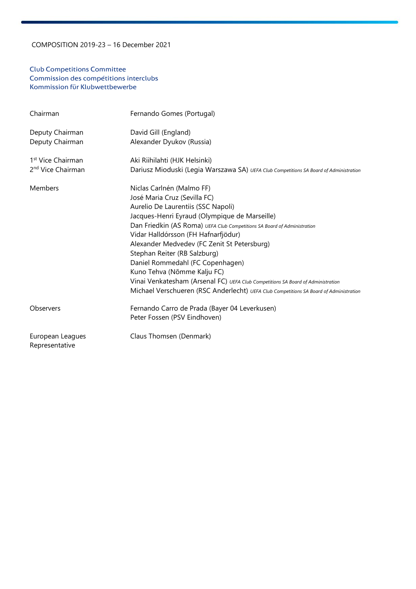#### Club Competitions Committee Commission des compétitions interclubs Kommission für Klubwettbewerbe

| Chairman                           | Fernando Gomes (Portugal)                                                              |
|------------------------------------|----------------------------------------------------------------------------------------|
| Deputy Chairman                    | David Gill (England)                                                                   |
| Deputy Chairman                    | Alexander Dyukov (Russia)                                                              |
| 1 <sup>st</sup> Vice Chairman      | Aki Riihilahti (HJK Helsinki)                                                          |
| 2 <sup>nd</sup> Vice Chairman      | Dariusz Mioduski (Legia Warszawa SA) UEFA Club Competitions SA Board of Administration |
| Members                            | Niclas Carlnén (Malmo FF)                                                              |
|                                    | José Maria Cruz (Sevilla FC)                                                           |
|                                    | Aurelio De Laurentiis (SSC Napoli)                                                     |
|                                    | Jacques-Henri Eyraud (Olympique de Marseille)                                          |
|                                    | Dan Friedkin (AS Roma) UEFA Club Competitions SA Board of Administration               |
|                                    | Vidar Halldórsson (FH Hafnarfjödur)                                                    |
|                                    | Alexander Medvedev (FC Zenit St Petersburg)                                            |
|                                    | Stephan Reiter (RB Salzburg)                                                           |
|                                    | Daniel Rommedahl (FC Copenhagen)                                                       |
|                                    | Kuno Tehva (Nõmme Kalju FC)                                                            |
|                                    | Vinai Venkatesham (Arsenal FC) UEFA Club Competitions SA Board of Administration       |
|                                    | Michael Verschueren (RSC Anderlecht) UEFA Club Competitions SA Board of Administration |
| Observers                          | Fernando Carro de Prada (Bayer 04 Leverkusen)                                          |
|                                    | Peter Fossen (PSV Eindhoven)                                                           |
| European Leagues<br>Representative | Claus Thomsen (Denmark)                                                                |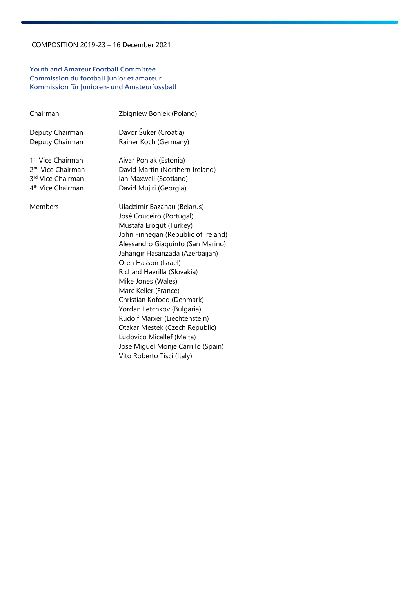#### Youth and Amateur Football Committee Commission du football junior et amateur Kommission für Junioren- und Amateurfussball

| Chairman                      | Zbigniew Boniek (Poland)            |
|-------------------------------|-------------------------------------|
| Deputy Chairman               | Davor Šuker (Croatia)               |
| Deputy Chairman               | Rainer Koch (Germany)               |
| 1 <sup>st</sup> Vice Chairman | Aivar Pohlak (Estonia)              |
| 2 <sup>nd</sup> Vice Chairman | David Martin (Northern Ireland)     |
| 3rd Vice Chairman             | Ian Maxwell (Scotland)              |
| 4 <sup>th</sup> Vice Chairman | David Mujiri (Georgia)              |
| Members                       | Uladzimir Bazanau (Belarus)         |
|                               | José Couceiro (Portugal)            |
|                               | Mustafa Erögüt (Turkey)             |
|                               | John Finnegan (Republic of Ireland) |
|                               | Alessandro Giaquinto (San Marino)   |
|                               | Jahangir Hasanzada (Azerbaijan)     |
|                               | Oren Hasson (Israel)                |
|                               | Richard Havrilla (Slovakia)         |
|                               | Mike Jones (Wales)                  |
|                               | Marc Keller (France)                |
|                               | Christian Kofoed (Denmark)          |
|                               | Yordan Letchkov (Bulgaria)          |
|                               | Rudolf Marxer (Liechtenstein)       |
|                               | Otakar Mestek (Czech Republic)      |
|                               | Ludovico Micallef (Malta)           |
|                               | Jose Miguel Monje Carrillo (Spain)  |
|                               | Vito Roberto Tisci (Italy)          |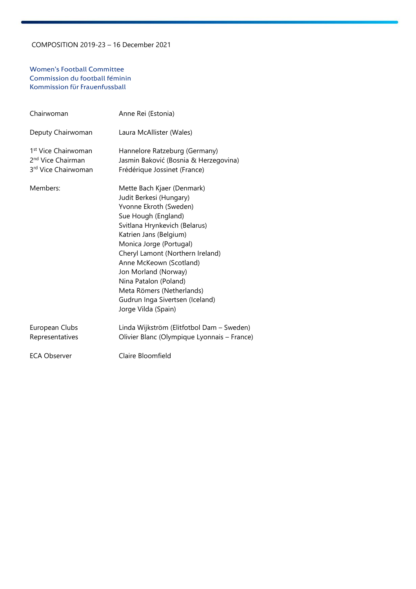#### Women's Football Committee Commission du football féminin Kommission für Frauenfussball

| Chairwoman                                                                              | Anne Rei (Estonia)                                                                                                                                                                                                                                                                                                                                                                                  |
|-----------------------------------------------------------------------------------------|-----------------------------------------------------------------------------------------------------------------------------------------------------------------------------------------------------------------------------------------------------------------------------------------------------------------------------------------------------------------------------------------------------|
| Deputy Chairwoman                                                                       | Laura McAllister (Wales)                                                                                                                                                                                                                                                                                                                                                                            |
| 1 <sup>st</sup> Vice Chairwoman<br>2 <sup>nd</sup> Vice Chairman<br>3rd Vice Chairwoman | Hannelore Ratzeburg (Germany)<br>Jasmin Baković (Bosnia & Herzegovina)<br>Frédérique Jossinet (France)                                                                                                                                                                                                                                                                                              |
| Members:                                                                                | Mette Bach Kjaer (Denmark)<br>Judit Berkesi (Hungary)<br>Yvonne Ekroth (Sweden)<br>Sue Hough (England)<br>Svitlana Hrynkevich (Belarus)<br>Katrien Jans (Belgium)<br>Monica Jorge (Portugal)<br>Cheryl Lamont (Northern Ireland)<br>Anne McKeown (Scotland)<br>Jon Morland (Norway)<br>Nina Patalon (Poland)<br>Meta Römers (Netherlands)<br>Gudrun Inga Sivertsen (Iceland)<br>Jorge Vilda (Spain) |
| European Clubs<br>Representatives                                                       | Linda Wijkström (Elitfotbol Dam - Sweden)<br>Olivier Blanc (Olympique Lyonnais - France)                                                                                                                                                                                                                                                                                                            |
| <b>ECA Observer</b>                                                                     | Claire Bloomfield                                                                                                                                                                                                                                                                                                                                                                                   |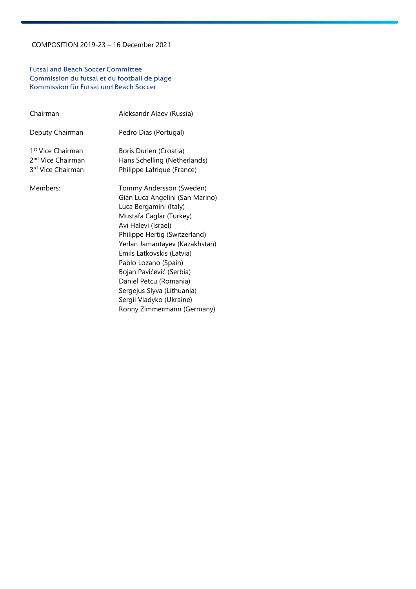#### Futsal and Beach Soccer Committee Commission du futsal et du football de plage Kommission für Futsal und Beach Soccer

| Chairman                                                                            | Aleksandr Alaev (Russia)                                                                                                                                                                                                                                                                                                                                                                                      |
|-------------------------------------------------------------------------------------|---------------------------------------------------------------------------------------------------------------------------------------------------------------------------------------------------------------------------------------------------------------------------------------------------------------------------------------------------------------------------------------------------------------|
| Deputy Chairman                                                                     | Pedro Dias (Portugal)                                                                                                                                                                                                                                                                                                                                                                                         |
| 1 <sup>st</sup> Vice Chairman<br>2 <sup>nd</sup> Vice Chairman<br>3rd Vice Chairman | Boris Durlen (Croatia)<br>Hans Schelling (Netherlands)<br>Philippe Lafrique (France)                                                                                                                                                                                                                                                                                                                          |
| Members:                                                                            | Tommy Andersson (Sweden)<br>Gian Luca Angelini (San Marino)<br>Luca Bergamini (Italy)<br>Mustafa Caglar (Turkey)<br>Avi Halevi (Israel)<br>Philippe Hertig (Switzerland)<br>Yerlan Jamantayev (Kazakhstan)<br>Emils Latkovskis (Latvia)<br>Pablo Lozano (Spain)<br>Bojan Pavićević (Serbia)<br>Daniel Petcu (Romania)<br>Sergejus Slyva (Lithuania)<br>Sergii Vladyko (Ukraine)<br>Ronny Zimmermann (Germany) |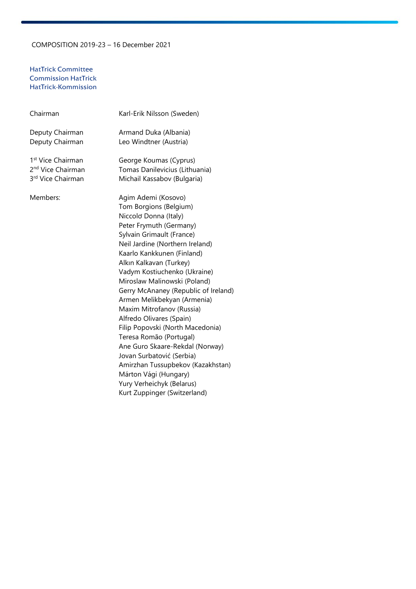#### HatTrick Committee Commission HatTrick HatTrick-Kommission

| Chairman                      | Karl-Erik Nilsson (Sweden)           |
|-------------------------------|--------------------------------------|
| Deputy Chairman               | Armand Duka (Albania)                |
| Deputy Chairman               | Leo Windtner (Austria)               |
| 1 <sup>st</sup> Vice Chairman | George Koumas (Cyprus)               |
| 2 <sup>nd</sup> Vice Chairman | Tomas Danilevicius (Lithuania)       |
| 3rd Vice Chairman             | Michail Kassabov (Bulgaria)          |
| Members:                      | Agim Ademi (Kosovo)                  |
|                               | Tom Borgions (Belgium)               |
|                               | Niccold Donna (Italy)                |
|                               | Peter Frymuth (Germany)              |
|                               | Sylvain Grimault (France)            |
|                               | Neil Jardine (Northern Ireland)      |
|                               | Kaarlo Kankkunen (Finland)           |
|                               | Alkın Kalkavan (Turkey)              |
|                               | Vadym Kostiuchenko (Ukraine)         |
|                               | Miroslaw Malinowski (Poland)         |
|                               | Gerry McAnaney (Republic of Ireland) |
|                               | Armen Melikbekyan (Armenia)          |
|                               | Maxim Mitrofanov (Russia)            |
|                               | Alfredo Olivares (Spain)             |
|                               | Filip Popovski (North Macedonia)     |
|                               | Teresa Romão (Portugal)              |
|                               | Ane Guro Skaare-Rekdal (Norway)      |
|                               | Jovan Surbatović (Serbia)            |
|                               | Amirzhan Tussupbekov (Kazakhstan)    |
|                               | Márton Vági (Hungary)                |
|                               | Yury Verheichyk (Belarus)            |

Kurt Zuppinger (Switzerland)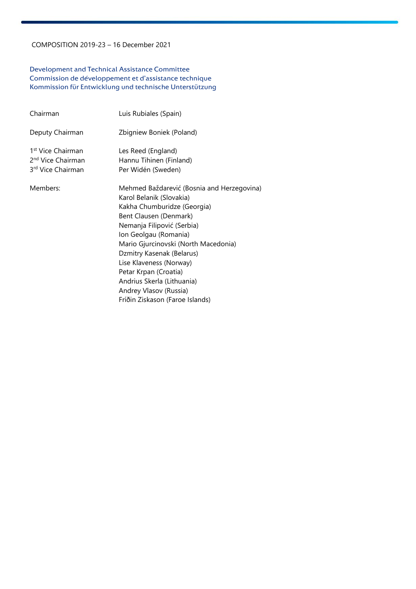#### Development and Technical Assistance Committee Commission de développement et d'assistance technique Kommission für Entwicklung und technische Unterstützung

| Chairman                                                                            | Luis Rubiales (Spain)                                                                                                                                                                                                                                                                                                                                                                                      |
|-------------------------------------------------------------------------------------|------------------------------------------------------------------------------------------------------------------------------------------------------------------------------------------------------------------------------------------------------------------------------------------------------------------------------------------------------------------------------------------------------------|
| Deputy Chairman                                                                     | Zbigniew Boniek (Poland)                                                                                                                                                                                                                                                                                                                                                                                   |
| 1 <sup>st</sup> Vice Chairman<br>2 <sup>nd</sup> Vice Chairman<br>3rd Vice Chairman | Les Reed (England)<br>Hannu Tihinen (Finland)<br>Per Widén (Sweden)                                                                                                                                                                                                                                                                                                                                        |
| Members:                                                                            | Mehmed Baždarević (Bosnia and Herzegovina)<br>Karol Belanik (Slovakia)<br>Kakha Chumburidze (Georgia)<br>Bent Clausen (Denmark)<br>Nemanja Filipović (Serbia)<br>Ion Geolgau (Romania)<br>Mario Gjurcinovski (North Macedonia)<br>Dzmitry Kasenak (Belarus)<br>Lise Klaveness (Norway)<br>Petar Krpan (Croatia)<br>Andrius Skerla (Lithuania)<br>Andrey Vlasov (Russia)<br>Fríðin Ziskason (Faroe Islands) |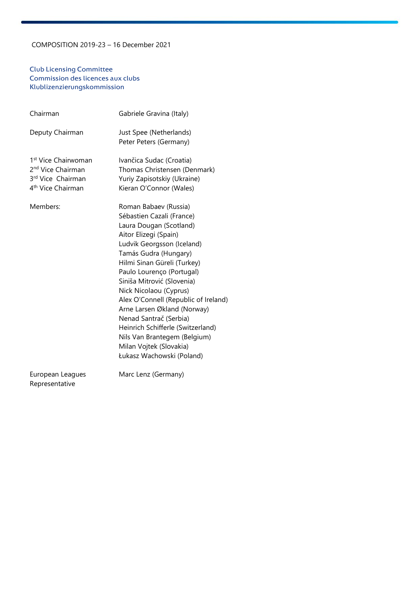### Club Licensing Committee Commission des licences aux clubs Klublizenzierungskommission

| Chairman                                                                                                               | Gabriele Gravina (Italy)                                                                                                                                                                                                                                                                                                                                                                                                                                                                                        |
|------------------------------------------------------------------------------------------------------------------------|-----------------------------------------------------------------------------------------------------------------------------------------------------------------------------------------------------------------------------------------------------------------------------------------------------------------------------------------------------------------------------------------------------------------------------------------------------------------------------------------------------------------|
| Deputy Chairman                                                                                                        | Just Spee (Netherlands)                                                                                                                                                                                                                                                                                                                                                                                                                                                                                         |
| 1 <sup>st</sup> Vice Chairwoman<br>2 <sup>nd</sup> Vice Chairman<br>3rd Vice Chairman<br>4 <sup>th</sup> Vice Chairman | Peter Peters (Germany)<br>Ivančica Sudac (Croatia)<br>Thomas Christensen (Denmark)<br>Yuriy Zapisotskiy (Ukraine)<br>Kieran O'Connor (Wales)                                                                                                                                                                                                                                                                                                                                                                    |
| Members:                                                                                                               | Roman Babaev (Russia)<br>Sébastien Cazali (France)<br>Laura Dougan (Scotland)<br>Aitor Elizegi (Spain)<br>Ludvik Georgsson (Iceland)<br>Tamás Gudra (Hungary)<br>Hilmi Sinan Güreli (Turkey)<br>Paulo Lourenço (Portugal)<br>Siniša Mitrović (Slovenia)<br>Nick Nicolaou (Cyprus)<br>Alex O'Connell (Republic of Ireland)<br>Arne Larsen Økland (Norway)<br>Nenad Santrač (Serbia)<br>Heinrich Schifferle (Switzerland)<br>Nils Van Brantegem (Belgium)<br>Milan Vojtek (Slovakia)<br>Łukasz Wachowski (Poland) |
| European Leagues                                                                                                       | Marc Lenz (Germany)                                                                                                                                                                                                                                                                                                                                                                                                                                                                                             |

Representative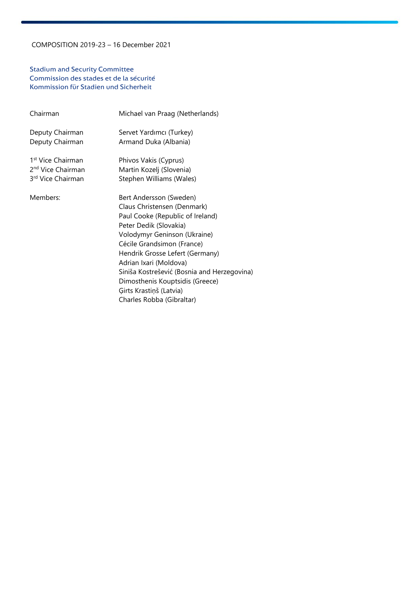#### Stadium and Security Committee Commission des stades et de la sécurité Kommission für Stadien und Sicherheit

| Chairman                      | Michael van Praag (Netherlands)                                                                                                                                                                                                                                                                                                                                                           |
|-------------------------------|-------------------------------------------------------------------------------------------------------------------------------------------------------------------------------------------------------------------------------------------------------------------------------------------------------------------------------------------------------------------------------------------|
| Deputy Chairman               | Servet Yardımcı (Turkey)                                                                                                                                                                                                                                                                                                                                                                  |
| Deputy Chairman               | Armand Duka (Albania)                                                                                                                                                                                                                                                                                                                                                                     |
| 1 <sup>st</sup> Vice Chairman | Phivos Vakis (Cyprus)                                                                                                                                                                                                                                                                                                                                                                     |
| 2 <sup>nd</sup> Vice Chairman | Martin Kozelj (Slovenia)                                                                                                                                                                                                                                                                                                                                                                  |
| 3 <sup>rd</sup> Vice Chairman | Stephen Williams (Wales)                                                                                                                                                                                                                                                                                                                                                                  |
| Members:                      | Bert Andersson (Sweden)<br>Claus Christensen (Denmark)<br>Paul Cooke (Republic of Ireland)<br>Peter Dedik (Slovakia)<br>Volodymyr Geninson (Ukraine)<br>Cécile Grandsimon (France)<br>Hendrik Grosse Lefert (Germany)<br>Adrian Ixari (Moldova)<br>Siniša Kostrešević (Bosnia and Herzegovina)<br>Dimosthenis Kouptsidis (Greece)<br>Ģirts Krastiņš (Latvia)<br>Charles Robba (Gibraltar) |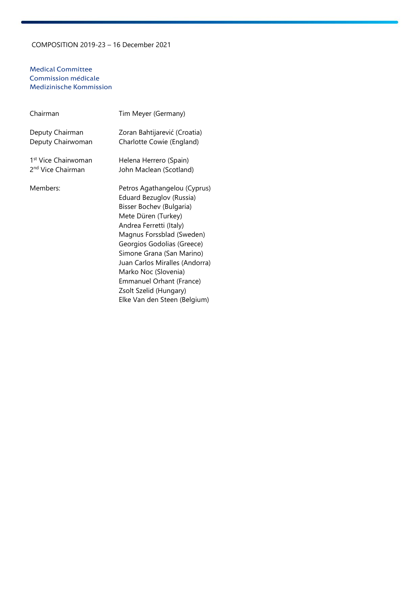#### Medical Committee Commission médicale Medizinische Kommission

| Chairman                        | Tim Meyer (Germany)                                                                                                                                                                                                                                                                                                                                                            |
|---------------------------------|--------------------------------------------------------------------------------------------------------------------------------------------------------------------------------------------------------------------------------------------------------------------------------------------------------------------------------------------------------------------------------|
| Deputy Chairman                 | Zoran Bahtijarević (Croatia)                                                                                                                                                                                                                                                                                                                                                   |
| Deputy Chairwoman               | Charlotte Cowie (England)                                                                                                                                                                                                                                                                                                                                                      |
| 1 <sup>st</sup> Vice Chairwoman | Helena Herrero (Spain)                                                                                                                                                                                                                                                                                                                                                         |
| 2 <sup>nd</sup> Vice Chairman   | John Maclean (Scotland)                                                                                                                                                                                                                                                                                                                                                        |
| Members:                        | Petros Agathangelou (Cyprus)<br>Eduard Bezuglov (Russia)<br>Bisser Bochev (Bulgaria)<br>Mete Düren (Turkey)<br>Andrea Ferretti (Italy)<br>Magnus Forssblad (Sweden)<br>Georgios Godolias (Greece)<br>Simone Grana (San Marino)<br>Juan Carlos Miralles (Andorra)<br>Marko Noc (Slovenia)<br>Emmanuel Orhant (France)<br>Zsolt Szelid (Hungary)<br>Elke Van den Steen (Belgium) |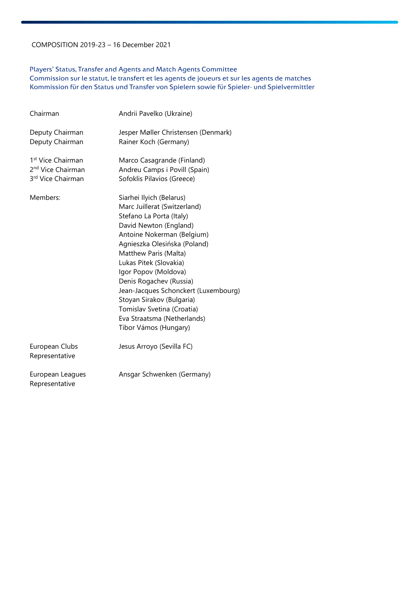### Players' Status, Transfer and Agents and Match Agents Committee

Commission sur le statut, le transfert et les agents de joueurs et sur les agents de matches Kommission für den Status und Transfer von Spielern sowie für Spieler- und Spielvermittler

| Chairman                                                                            | Andrii Pavelko (Ukraine)                                                                                                                                                                                                                                                                                                                                                                                                                      |
|-------------------------------------------------------------------------------------|-----------------------------------------------------------------------------------------------------------------------------------------------------------------------------------------------------------------------------------------------------------------------------------------------------------------------------------------------------------------------------------------------------------------------------------------------|
| Deputy Chairman<br>Deputy Chairman                                                  | Jesper Møller Christensen (Denmark)<br>Rainer Koch (Germany)                                                                                                                                                                                                                                                                                                                                                                                  |
| 1 <sup>st</sup> Vice Chairman<br>2 <sup>nd</sup> Vice Chairman<br>3rd Vice Chairman | Marco Casagrande (Finland)<br>Andreu Camps i Povill (Spain)<br>Sofoklis Pilavios (Greece)                                                                                                                                                                                                                                                                                                                                                     |
| Members:                                                                            | Siarhei Ilyich (Belarus)<br>Marc Juillerat (Switzerland)<br>Stefano La Porta (Italy)<br>David Newton (England)<br>Antoine Nokerman (Belgium)<br>Agnieszka Olesińska (Poland)<br>Matthew Paris (Malta)<br>Lukas Pitek (Slovakia)<br>Igor Popov (Moldova)<br>Denis Rogachev (Russia)<br>Jean-Jacques Schonckert (Luxembourg)<br>Stoyan Sirakov (Bulgaria)<br>Tomislav Svetina (Croatia)<br>Eva Straatsma (Netherlands)<br>Tibor Vámos (Hungary) |
| European Clubs<br>Representative                                                    | Jesus Arroyo (Sevilla FC)                                                                                                                                                                                                                                                                                                                                                                                                                     |
| European Leagues<br>Representative                                                  | Ansgar Schwenken (Germany)                                                                                                                                                                                                                                                                                                                                                                                                                    |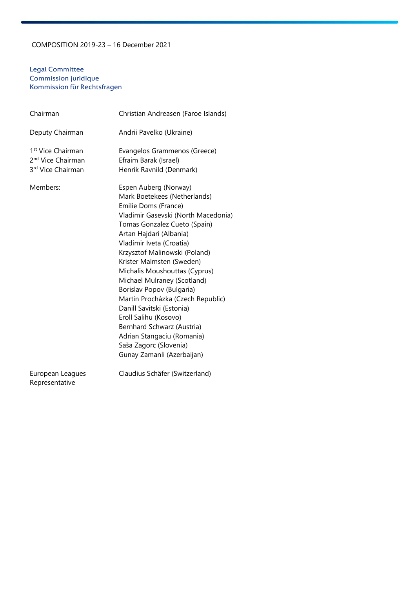#### Legal Committee Commission juridique Kommission für Rechtsfragen

| Chairman                                                                            | Christian Andreasen (Faroe Islands)                                                                                                                                                                                                                                                                                                                                                                                                                                                                                                                                                   |
|-------------------------------------------------------------------------------------|---------------------------------------------------------------------------------------------------------------------------------------------------------------------------------------------------------------------------------------------------------------------------------------------------------------------------------------------------------------------------------------------------------------------------------------------------------------------------------------------------------------------------------------------------------------------------------------|
| Deputy Chairman                                                                     | Andrii Pavelko (Ukraine)                                                                                                                                                                                                                                                                                                                                                                                                                                                                                                                                                              |
| 1 <sup>st</sup> Vice Chairman<br>2 <sup>nd</sup> Vice Chairman<br>3rd Vice Chairman | Evangelos Grammenos (Greece)<br>Efraim Barak (Israel)<br>Henrik Ravnild (Denmark)                                                                                                                                                                                                                                                                                                                                                                                                                                                                                                     |
| Members:                                                                            | Espen Auberg (Norway)<br>Mark Boetekees (Netherlands)<br>Emilie Doms (France)<br>Vladimir Gasevski (North Macedonia)<br>Tomas Gonzalez Cueto (Spain)<br>Artan Hajdari (Albania)<br>Vladimir Iveta (Croatia)<br>Krzysztof Malinowski (Poland)<br>Krister Malmsten (Sweden)<br>Michalis Moushouttas (Cyprus)<br>Michael Mulraney (Scotland)<br>Borislav Popov (Bulgaria)<br>Martin Procházka (Czech Republic)<br>Danill Savitski (Estonia)<br>Eroll Salihu (Kosovo)<br>Bernhard Schwarz (Austria)<br>Adrian Stangaciu (Romania)<br>Saša Zagorc (Slovenia)<br>Gunay Zamanli (Azerbaijan) |
| European Leagues<br>Representative                                                  | Claudius Schäfer (Switzerland)                                                                                                                                                                                                                                                                                                                                                                                                                                                                                                                                                        |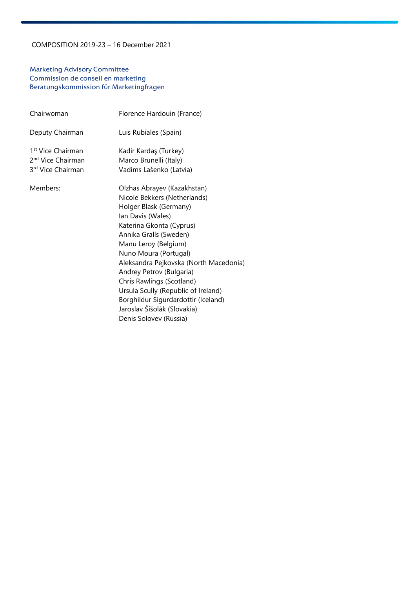### Marketing Advisory Committee Commission de conseil en marketing Beratungskommission für Marketingfragen

| Chairwoman                                                                          | Florence Hardouin (France)                                                                                                                                                                                                                                                                                                                                                                                                                                  |
|-------------------------------------------------------------------------------------|-------------------------------------------------------------------------------------------------------------------------------------------------------------------------------------------------------------------------------------------------------------------------------------------------------------------------------------------------------------------------------------------------------------------------------------------------------------|
| Deputy Chairman                                                                     | Luis Rubiales (Spain)                                                                                                                                                                                                                                                                                                                                                                                                                                       |
| 1 <sup>st</sup> Vice Chairman<br>2 <sup>nd</sup> Vice Chairman<br>3rd Vice Chairman | Kadir Kardaş (Turkey)<br>Marco Brunelli (Italy)<br>Vadims Lašenko (Latvia)                                                                                                                                                                                                                                                                                                                                                                                  |
| Members:                                                                            | Olzhas Abrayev (Kazakhstan)<br>Nicole Bekkers (Netherlands)<br>Holger Blask (Germany)<br>Ian Davis (Wales)<br>Katerina Gkonta (Cyprus)<br>Annika Gralls (Sweden)<br>Manu Leroy (Belgium)<br>Nuno Moura (Portugal)<br>Aleksandra Pejkovska (North Macedonia)<br>Andrey Petrov (Bulgaria)<br>Chris Rawlings (Scotland)<br>Ursula Scully (Republic of Ireland)<br>Borghildur Sigurdardottir (Iceland)<br>Jaroslav Šišolák (Slovakia)<br>Denis Solovev (Russia) |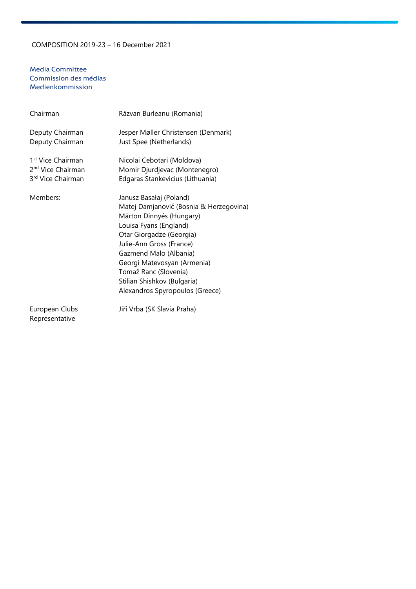#### Media Committee Commission des médias Medienkommission

| Chairman                                                                            | Răzvan Burleanu (Romania)                                                                                                                                                                                                                                                                                                            |
|-------------------------------------------------------------------------------------|--------------------------------------------------------------------------------------------------------------------------------------------------------------------------------------------------------------------------------------------------------------------------------------------------------------------------------------|
| Deputy Chairman<br>Deputy Chairman                                                  | Jesper Møller Christensen (Denmark)<br>Just Spee (Netherlands)                                                                                                                                                                                                                                                                       |
| 1 <sup>st</sup> Vice Chairman<br>2 <sup>nd</sup> Vice Chairman<br>3rd Vice Chairman | Nicolai Cebotari (Moldova)<br>Momir Djurdjevac (Montenegro)<br>Edgaras Stankevicius (Lithuania)                                                                                                                                                                                                                                      |
| Members:                                                                            | Janusz Basałaj (Poland)<br>Matej Damjanović (Bosnia & Herzegovina)<br>Márton Dinnyés (Hungary)<br>Louisa Fyans (England)<br>Otar Giorgadze (Georgia)<br>Julie-Ann Gross (France)<br>Gazmend Malo (Albania)<br>Georgi Matevosyan (Armenia)<br>Tomaž Ranc (Slovenia)<br>Stilian Shishkov (Bulgaria)<br>Alexandros Spyropoulos (Greece) |
| European Clubs                                                                      | Jiří Vrba (SK Slavia Praha)                                                                                                                                                                                                                                                                                                          |

Representative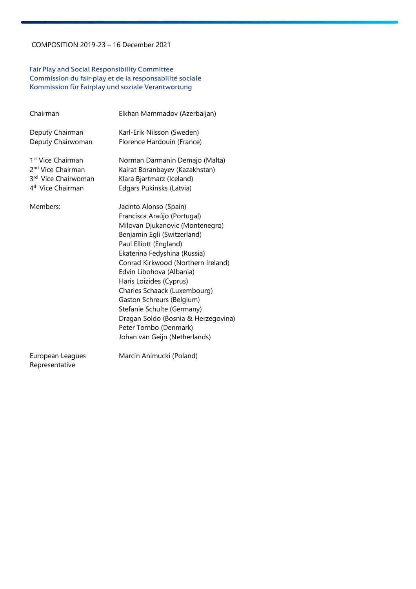#### Fair Play and Social Responsibility Committee Commission du fair-play et de la responsabilité sociale Kommission für Fairplay und soziale Verantwortung

| Chairman                                                                                                               | Elkhan Mammadov (Azerbaijan)                                                                                                                                                                                                                                                                                                                                                                                                                                                |
|------------------------------------------------------------------------------------------------------------------------|-----------------------------------------------------------------------------------------------------------------------------------------------------------------------------------------------------------------------------------------------------------------------------------------------------------------------------------------------------------------------------------------------------------------------------------------------------------------------------|
| Deputy Chairman<br>Deputy Chairwoman                                                                                   | Karl-Erik Nilsson (Sweden)<br>Florence Hardouin (France)                                                                                                                                                                                                                                                                                                                                                                                                                    |
| 1 <sup>st</sup> Vice Chairman<br>2 <sup>nd</sup> Vice Chairman<br>3rd Vice Chairwoman<br>4 <sup>th</sup> Vice Chairman | Norman Darmanin Demajo (Malta)<br>Kairat Boranbayev (Kazakhstan)<br>Klara Bjartmarz (Iceland)<br>Edgars Pukinsks (Latvia)                                                                                                                                                                                                                                                                                                                                                   |
| Members:                                                                                                               | Jacinto Alonso (Spain)<br>Francisca Araújo (Portugal)<br>Milovan Djukanovic (Montenegro)<br>Benjamin Egli (Switzerland)<br>Paul Elliott (England)<br>Ekaterina Fedyshina (Russia)<br>Conrad Kirkwood (Northern Ireland)<br>Edvin Libohova (Albania)<br>Haris Loizides (Cyprus)<br>Charles Schaack (Luxembourg)<br>Gaston Schreurs (Belgium)<br>Stefanie Schulte (Germany)<br>Dragan Soldo (Bosnia & Herzegovina)<br>Peter Tornbo (Denmark)<br>Johan van Geijn (Netherlands) |
|                                                                                                                        | $M = 1$                                                                                                                                                                                                                                                                                                                                                                                                                                                                     |

Representative

European Leagues Marcin Animucki (Poland)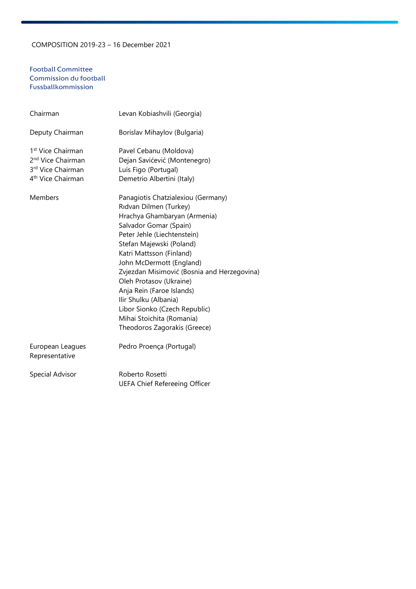#### Football Committee Commission du football Fussballkommission

| Chairman                                                                                                             | Levan Kobiashvili (Georgia)                                                                                                                                                                                                                                                                                                                                                                                                                                             |
|----------------------------------------------------------------------------------------------------------------------|-------------------------------------------------------------------------------------------------------------------------------------------------------------------------------------------------------------------------------------------------------------------------------------------------------------------------------------------------------------------------------------------------------------------------------------------------------------------------|
| Deputy Chairman                                                                                                      | Borislav Mihaylov (Bulgaria)                                                                                                                                                                                                                                                                                                                                                                                                                                            |
| 1 <sup>st</sup> Vice Chairman<br>2 <sup>nd</sup> Vice Chairman<br>3rd Vice Chairman<br>4 <sup>th</sup> Vice Chairman | Pavel Cebanu (Moldova)<br>Dejan Savićević (Montenegro)<br>Luís Figo (Portugal)<br>Demetrio Albertini (Italy)                                                                                                                                                                                                                                                                                                                                                            |
| Members                                                                                                              | Panagiotis Chatzialexiou (Germany)<br>Rıdvan Dilmen (Turkey)<br>Hrachya Ghambaryan (Armenia)<br>Salvador Gomar (Spain)<br>Peter Jehle (Liechtenstein)<br>Stefan Majewski (Poland)<br>Katri Mattsson (Finland)<br>John McDermott (England)<br>Zvjezdan Misimović (Bosnia and Herzegovina)<br>Oleh Protasov (Ukraine)<br>Anja Rein (Faroe Islands)<br>Ilir Shulku (Albania)<br>Libor Sionko (Czech Republic)<br>Mihai Stoichita (Romania)<br>Theodoros Zagorakis (Greece) |
| European Leagues<br>Representative                                                                                   | Pedro Proença (Portugal)                                                                                                                                                                                                                                                                                                                                                                                                                                                |
| Special Advisor                                                                                                      | Roberto Rosetti<br><b>UEFA Chief Refereeing Officer</b>                                                                                                                                                                                                                                                                                                                                                                                                                 |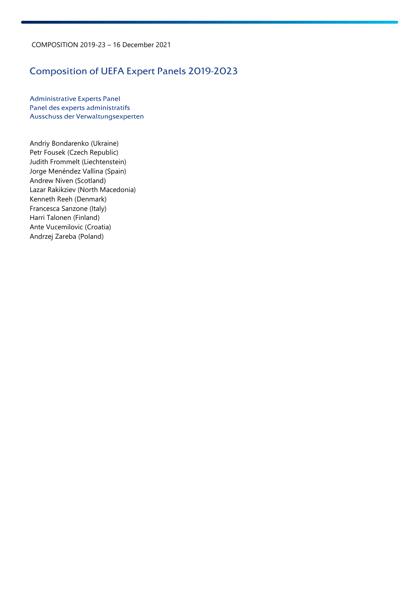# Composition of UEFA Expert Panels 2019-2023

Administrative Experts Panel Panel des experts administratifs Ausschuss der Verwaltungsexperten

Andriy Bondarenko (Ukraine) Petr Fousek (Czech Republic) Judith Frommelt (Liechtenstein) Jorge Menéndez Vallina (Spain) Andrew Niven (Scotland) Lazar Rakikziev (North Macedonia) Kenneth Reeh (Denmark) Francesca Sanzone (Italy) Harri Talonen (Finland) Ante Vucemilovic (Croatia) Andrzej Zareba (Poland)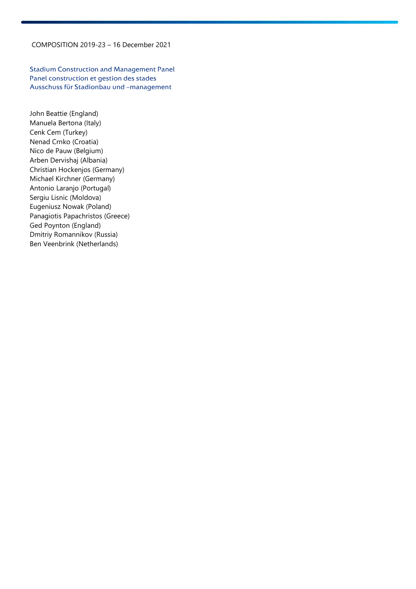Stadium Construction and Management Panel Panel construction et gestion des stades Ausschuss für Stadionbau und –management

John Beattie (England) Manuela Bertona (Italy) Cenk Cem (Turkey) Nenad Crnko (Croatia) Nico de Pauw (Belgium) Arben Dervishaj (Albania) Christian Hockenjos (Germany) Michael Kirchner (Germany) Antonio Laranjo (Portugal) Sergiu Lisnic (Moldova) Eugeniusz Nowak (Poland) Panagiotis Papachristos (Greece) Ged Poynton (England) Dmitriy Romannikov (Russia) Ben Veenbrink (Netherlands)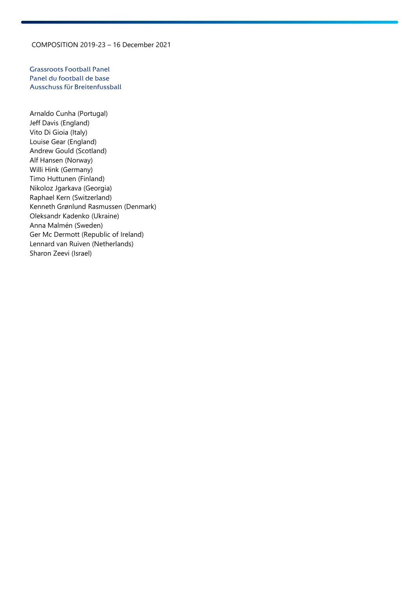Grassroots Football Panel Panel du football de base Ausschuss für Breitenfussball

Arnaldo Cunha (Portugal) Jeff Davis (England) Vito Di Gioia (Italy) Louise Gear (England) Andrew Gould (Scotland) Alf Hansen (Norway) Willi Hink (Germany) Timo Huttunen (Finland) Nikoloz Jgarkava (Georgia) Raphael Kern (Switzerland) Kenneth Grønlund Rasmussen (Denmark) Oleksandr Kadenko (Ukraine) Anna Malmén (Sweden) Ger Mc Dermott (Republic of Ireland) Lennard van Ruiven (Netherlands) Sharon Zeevi (Israel)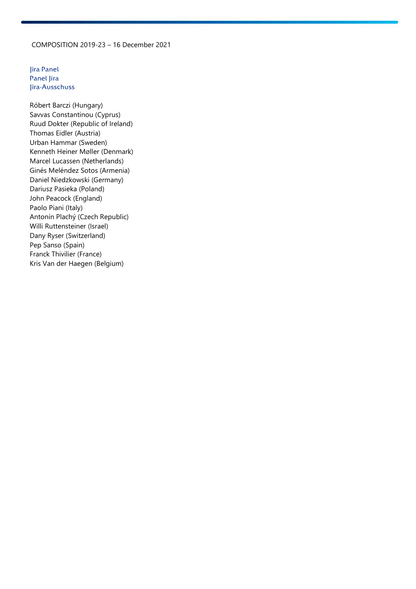Jira Panel Panel Jira Jira-Ausschuss

Róbert Barczi (Hungary) Savvas Constantinou (Cyprus) Ruud Dokter (Republic of Ireland) Thomas Eidler (Austria) Urban Hammar (Sweden) Kenneth Heiner Møller (Denmark) Marcel Lucassen (Netherlands) Ginés Meléndez Sotos (Armenia) Daniel Niedzkowski (Germany) Dariusz Pasieka (Poland) John Peacock (England) Paolo Piani (Italy) Antonín Plachý (Czech Republic) Willi Ruttensteiner (Israel) Dany Ryser (Switzerland) Pep Sanso (Spain) Franck Thivilier (France) Kris Van der Haegen (Belgium)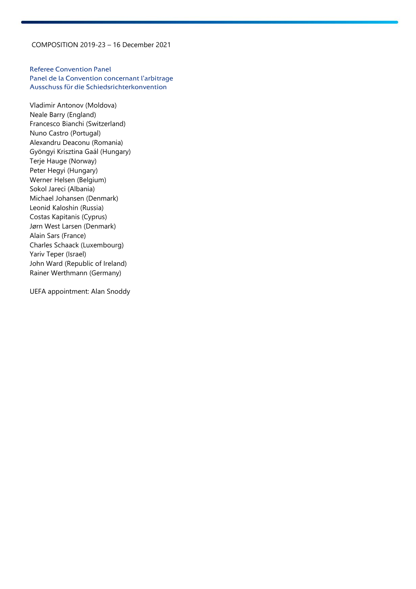Referee Convention Panel Panel de la Convention concernant l'arbitrage Ausschuss für die Schiedsrichterkonvention

Vladimir Antonov (Moldova) Neale Barry (England) Francesco Bianchi (Switzerland) Nuno Castro (Portugal) Alexandru Deaconu (Romania) Gyöngyi Krisztina Gaál (Hungary) Terje Hauge (Norway) Peter Hegyi (Hungary) Werner Helsen (Belgium) Sokol Jareci (Albania) Michael Johansen (Denmark) Leonid Kaloshin (Russia) Costas Kapitanis (Cyprus) Jørn West Larsen (Denmark) Alain Sars (France) Charles Schaack (Luxembourg) Yariv Teper (Israel) John Ward (Republic of Ireland) Rainer Werthmann (Germany)

UEFA appointment: Alan Snoddy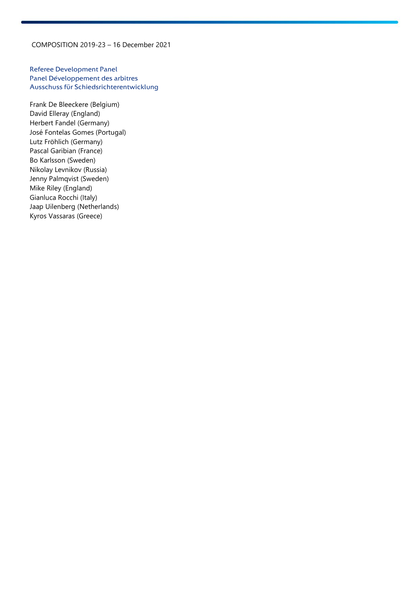Referee Development Panel Panel Développement des arbitres Ausschuss für Schiedsrichterentwicklung

Frank De Bleeckere (Belgium) David Elleray (England) Herbert Fandel (Germany) José Fontelas Gomes (Portugal) Lutz Fröhlich (Germany) Pascal Garibian (France) Bo Karlsson (Sweden) Nikolay Levnikov (Russia) Jenny Palmqvist (Sweden) Mike Riley (England) Gianluca Rocchi (Italy) Jaap Uilenberg (Netherlands) Kyros Vassaras (Greece)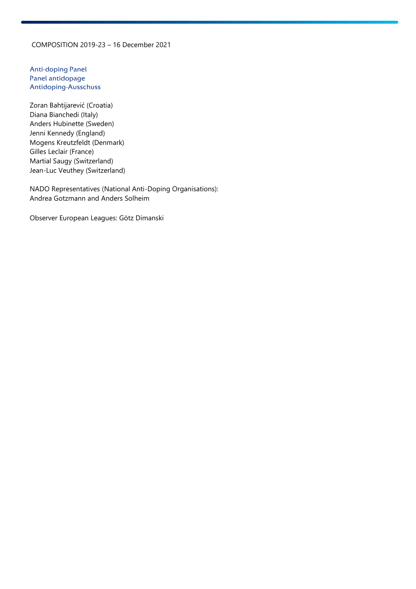Anti-doping Panel Panel antidopage Antidoping-Ausschuss

Zoran Bahtijarević (Croatia) Diana Bianchedi (Italy) Anders Hubinette (Sweden) Jenni Kennedy (England) Mogens Kreutzfeldt (Denmark) Gilles Leclair (France) Martial Saugy (Switzerland) Jean-Luc Veuthey (Switzerland)

NADO Representatives (National Anti-Doping Organisations): Andrea Gotzmann and Anders Solheim

Observer European Leagues: Götz Dimanski